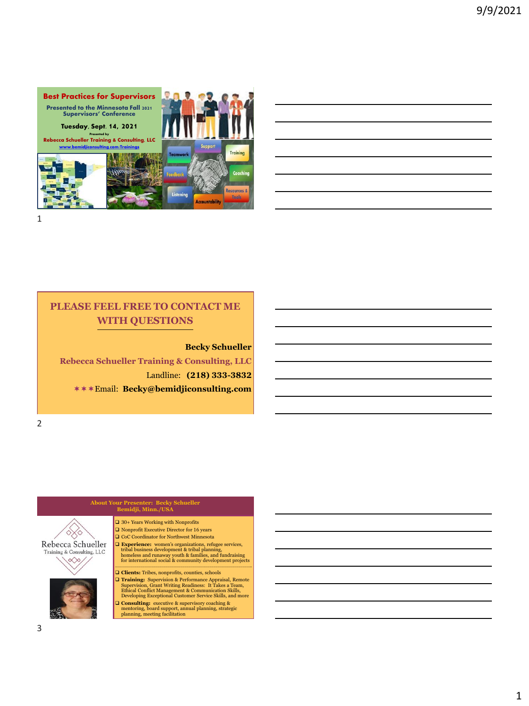

## **PLEASE FEEL FREE TO CONTACT ME WITH QUESTIONS**

#### **Becky Schueller**

**Rebecca Schueller Training & Consulting, LLC** Landline: **(218) 333-3832** Email: **Becky@bemidjiconsulting.com**

2

## **About Your Presenter: Becky Schueller Bemidji, Minn./USA**

 $\Box$  30+ Years Working with Nonprofits Rebecca Schueller Training & Consulting,  ${\rm LLC}$ 

❑ Nonprofit Executive Director for 16 years ❑ CoC Coordinator for Northwest Minnesota  $\Box$  Experience: women's organizations, refugee services, tribal business development & tribal planning, homeless and runaway youth & families, and fundraising for international social & community development projects

❑ **Clients:** Tribes, nonprofits, counties, schools

**Training:** Supervision & Performance Appraisal, Remote<br>Supervision, Grant Writing Readiness: It Takes a Team,<br>Ethical Conflict Management & Communication Skills,<br>Developing Exceptional Customer Service Skills, and more

❑ **Consulting:** executive & supervisory coaching & mentoring, board support, annual planning, strategic planning, meeting facilitation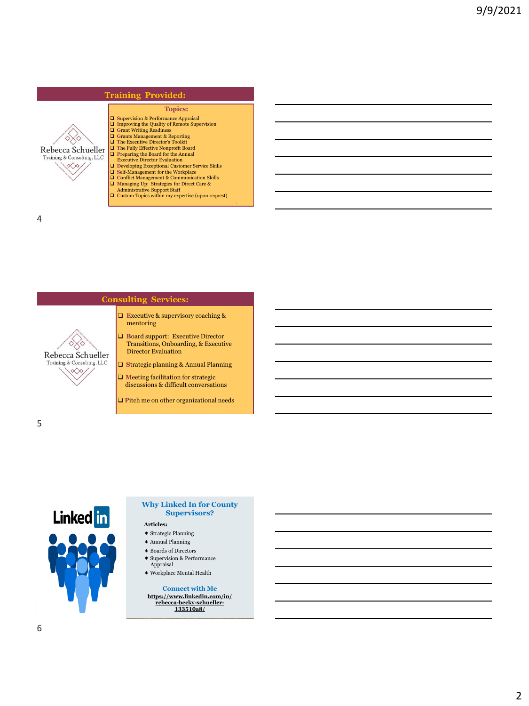## **Training Provided:**



# **Topics:**

❑ **S**upervision & Performance Appraisal ❑ **I**mproving the Quality of Remote Supervision  $\Box$  Grant Writing Readiness<br> $\Box$  Grants Management & Reporting<br> $\Box$  The Executive Director's Toolkit<br> $\Box$  The Fully Effective Nonprofit Board<br> $\Box$  Preparing the Board for the Annual Executive Director Evaluation

❑ **D**eveloping Exceptional Customer Service Skills ❑ **S**elf-Management for the Workplace ❑ **C**onflict Management & Communication Skills ❑ **M**anaging Up: Strategies for Direct Care &

Administrative Support Staff ❑ **C**ustom Topics within my expertise (upon request)

4

#### **Consulting Services:**

- ❑ **E**xecutive & supervisory coaching & mentoring
- ❑ **B**oard support: Executive Director Transitions, Onboarding, & Executive Director Evaluation
- ❑ **S**trategic planning & Annual Planning
- ❑ **M**eeting facilitation for strategic discussions & difficult conversations
- ❑ **P**itch me on other organizational needs

5



Rebecca Schueller Training & Consulting, LLC  $\infty$ 

#### **Why Linked In for County Supervisors?**

#### **Articles:**

- $\boldsymbol *$  Strategic Planning
- Annual Planning
- Boards of Directors
- Supervision & Performance
- Appraisal  $\boldsymbol{*}$  Workplace Mental Health

**Connect with Me [https://www.linkedin.com/in/](https://www.linkedin.com/in/rebecca-becky-schueller-133510a8/) [rebecca-becky-schueller-](https://www.linkedin.com/in/rebecca-becky-schueller-133510a8/)133510a8/**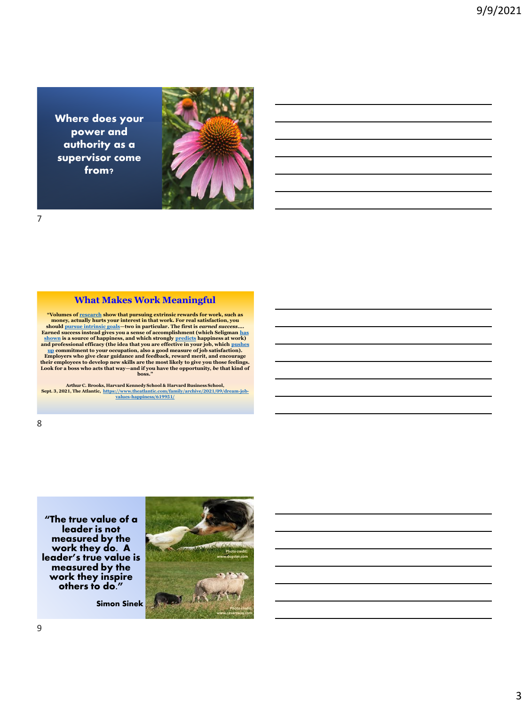Where does your power and authority as a supervisor come from?



#### **What Makes Work Meaningful**

"Volumes of <u>[research](https://www.researchgate.net/publication/12712628_A_Meta-Analytic_Review_of_Experiments_Examining_the_Effect_of_Extrinsic_Rewards_on_Intrinsic_Motivation)</u> show that pursuing extrinsic rewards for work, such as<br>money, actually hurts your interest in that work. For real satisfaction, you<br>should [pursue intrinsic goals](https://www.theatlantic.com/family/archive/2021/01/checklist-achievements-happiness-boxes/617756/)—two in particular. The first is *carn* shown is a source of happiness, and which strongly <u>[predicts](https://positivepsychology.com/perma-model/)</u> happiness at work)<br>and professional efficacy (the idea that you are effective in your job, which pushes<br>in the summer to your occupation, also a good measure of **Look for a boss who acts that way—and if you have the opportunity,** *be* **that kind of boss."**

**Arthur C. Brooks, Harvard Kennedy School & Harvard Business School, Sept. 3, 2021, The Atlantic, [https://www.theatlantic.com/family/archive/2021/09/dream-job-](https://www.theatlantic.com/family/archive/2021/09/dream-job-values-happiness/619951/)values-happiness/619951/**

**"The true value of a leader is not measured by the work they do. A leader's true value is measured by the work they inspire others to do."**

**Simon Sinek**

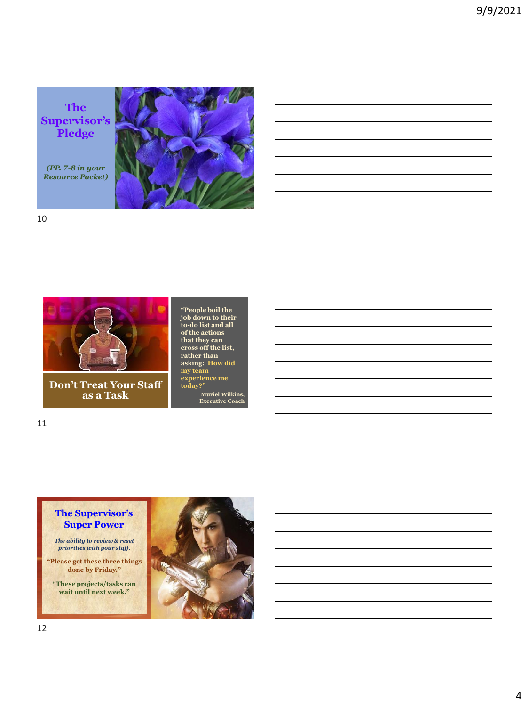**The Supervisor's Pledge**

*(PP. 7-8 in your Resource Packet)*

10



**Don't Treat Your Staff as a Task**

**"People boil the job down to their to-do list and all of the actions that they can cross off the list, rather than asking: How did my team experience me today?" Muriel Wilkins, Executive Coach**

11

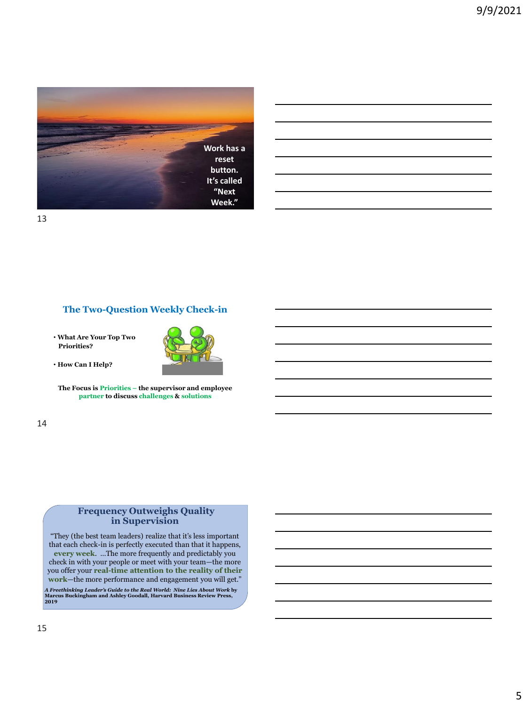

## **The Two-Question Weekly Check-in**

• **What Are Your Top Two Priorities?**



• **How Can I Help?** 

**The Focus is Priorities – the supervisor and employee partner to discuss challenges & solutions**

14

## **Frequency Outweighs Quality in Supervision**

"They (the best team leaders) realize that it's less important that each check-in is perfectly executed than that it happens, **every week**. …The more frequently and predictably you check in with your people or meet with your team—the more you offer your **real-time attention to the reality of their work**—the more performance and engagement you will get."

*A Freethinking Leader's Guide to the Real World: Nine Lies About Work* **by Marcus Buckingham and Ashley Goodall, Harvard Business Review Press, 2019**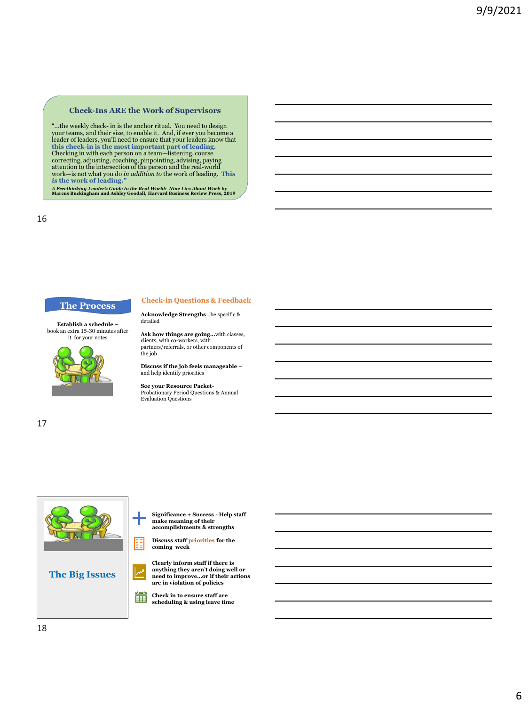#### **Check-Ins ARE the Work of Supervisors**

"...the weekly check- in is the anchor ritual. You need to design<br>your teams, and their size, to enable it. And, if ever you become a<br>leader of leaders, you'll need to ensure that your leaders know that<br>this check-in is th work—is not what you do *in addition to* the work of leading. **This**  *is* **the work of leading."**

*A Freethinking Leader's Guide to the Real World: Nine Lies About Work* **by Marcus Buckingham and Ashley Goodall, Harvard Business Review Press, 2019**

detailed

16

#### **Acknowledge Strengths**…be specific & **The Process Check-in Questions & Feedback**

**Establish a schedule –** book an extra 15-30 minutes after it for your notes



**Ask how things are going…**with classes, clients, with co-workers, with partners/referrals, or other components of the job

**Discuss if the job feels manageable** – and help identify priorities

**See your Resource Packet-**Probationary Period Questions & Annual Evaluation Questions

17



**Significance + Success** - **Help staff make meaning of their accomplishments & strengths**

**Discuss staff priorities for the coming week**

**Clearly inform staff if there is anything they aren't doing well or need to improve…or if their actions are in violation of policies**

**Check in to ensure staff are**<br> **Check in to ensure staff are scheduling & using leave time**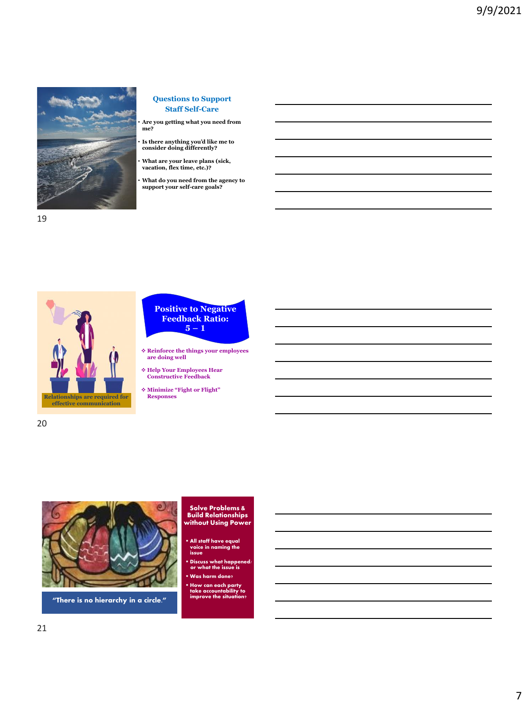

**Questions to Support Staff Self-Care**

• **Are you getting what you need from me?**

• **Is there anything you'd like me to consider doing differently?**

• **What are your leave plans (sick, vacation, flex time, etc.)?**

• **What do you need from the agency to support your self-care goals?**



#### **Positive to Negative Feedback Ratio: 5 – 1**

❖ **Reinforce the things your employees are doing well**

❖ **Help Your Employees Hear Constructive Feedback**

❖ **Minimize "Fight or Flight" Responses**



**"There is no hierarchy in a circle."**

## **Solve Problems & Build Relationships without Using Power**

- **All staff have equal voice in naming the issue**
- **Discuss what happened/ or what the issue is**
- **Was harm done?**
- **How can each party take accountability to improve the situation?**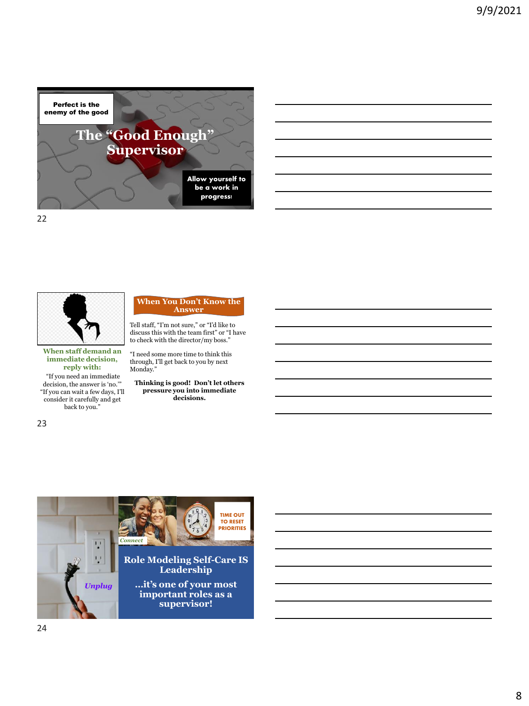



**When staff demand an immediate decision, reply with:**

"If you need an immediate decision, the answer is 'no.'" "If you can wait a few days, I'll consider it carefully and get back to you."

#### **When You Don't Know the Answer**

Tell staff, "I'm not sure," or "I'd like to discuss this with the team first" or "I have to check with the director/my boss."

"I need some more time to think this through, I'll get back to you by next Monday."

**Thinking is good! Don't let others pressure you into immediate decisions.** 



23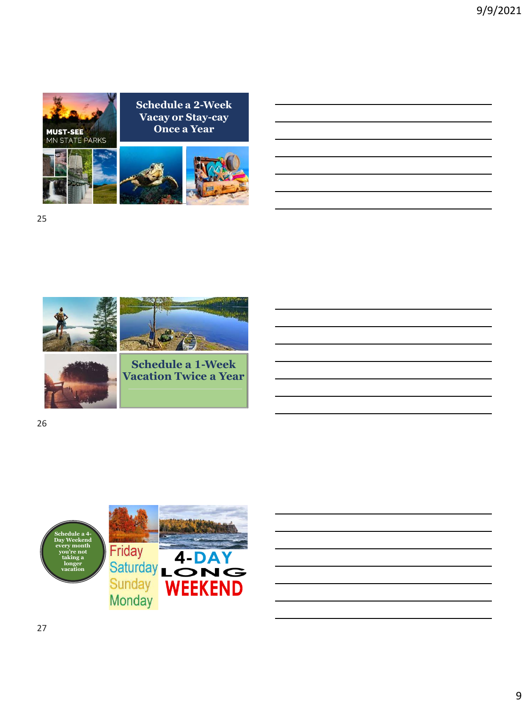



**Schedule a 2-Week** 



25



26

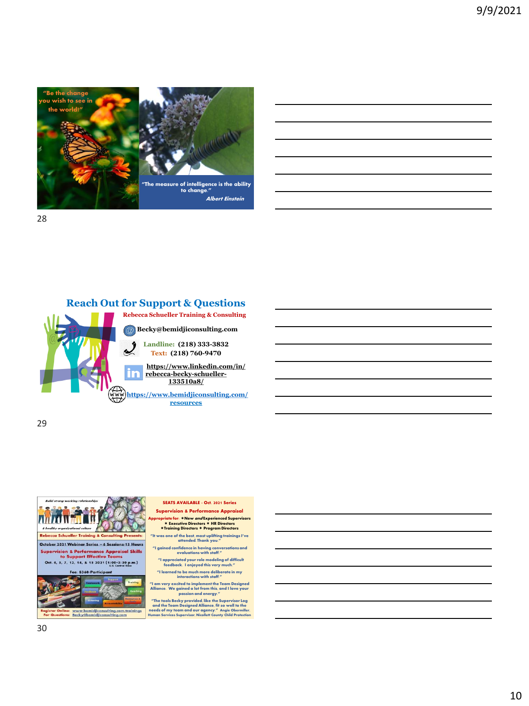

## **Reach Out for Support & Questions**



**Rebecca Schueller Training & Consulting**

**Becky@bemidjiconsulting.com**

**Landline: (218) 333-3832 Text: (218) 760-9470**

**[https://www.linkedin.com/in/](https://www.linkedin.com/in/rebecca-becky-schueller-133510a8/) [rebecca-becky-schueller-](https://www.linkedin.com/in/rebecca-becky-schueller-133510a8/)133510a8/**

**<https://www.bemidjiconsulting.com/> resources**

29



SEATS AVAILABLE - Oct. 2021 Series Supervision & Performance Appraisal Appropriate for: \*New *and* Experienced Supervisors<br>\* Executive Directors \* HR Directors<br>\*Training Directors \* Program Directors

**"It was one of the best, most uplifting trainings I've attended. Thank you."** 

**"I gained confidence in having conversations and evaluations with staff."**

**"I appreciated your role modeling of difficult feedback. I enjoyed this very much."**

**"I learned to be much more deliberate in my interactions with staff."**

**"I am very excited to implement the Team Designed Alliance. We gained a lot from this, and I love your passion and energy."**

"The tools Becky provided, like the Supervisor Log<br>and the Team Designed Alliance, fit so well to the<br>needs of my team and our agency." Angie Obermiller,<br>Human Services Supervisor, Nicollett County Child Protection